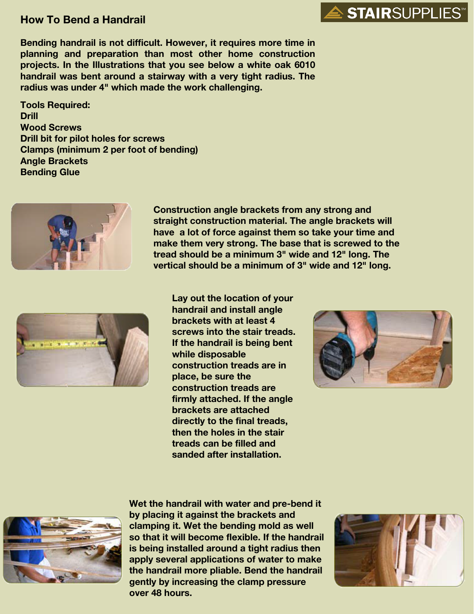## **How To Bend a Handrail**

**Bending handrail is not difficult. However, it requires more time in planning and preparation than most other home construction projects. In the Illustrations that you see below a white oak 6010 handrail was bent around a stairway with a very tight radius. The radius was under 4" which made the work challenging.**

**Tools Required: Drill Wood Screws Drill bit for pilot holes for screws Clamps (minimum 2 per foot of bending) Angle Brackets Bending Glue**



**Construction angle brackets from any strong and straight construction material. The angle brackets will have a lot of force against them so take your time and make them very strong. The base that is screwed to the tread should be a minimum 3" wide and 12" long. The vertical should be a minimum of 3" wide and 12" long.**



**Lay out the location of your handrail and install angle brackets with at least 4 screws into the stair treads. If the handrail is being bent while disposable construction treads are in place, be sure the construction treads are firmly attached. If the angle brackets are attached directly to the final treads, then the holes in the stair treads can be filled and sanded after installation.**



**STAIR**SUPPLIES<sup>®</sup>



**Wet the handrail with water and pre-bend it by placing it against the brackets and clamping it. Wet the bending mold as well so that it will become flexible. If the handrail is being installed around a tight radius then apply several applications of water to make the handrail more pliable. Bend the handrail gently by increasing the clamp pressure over 48 hours.**